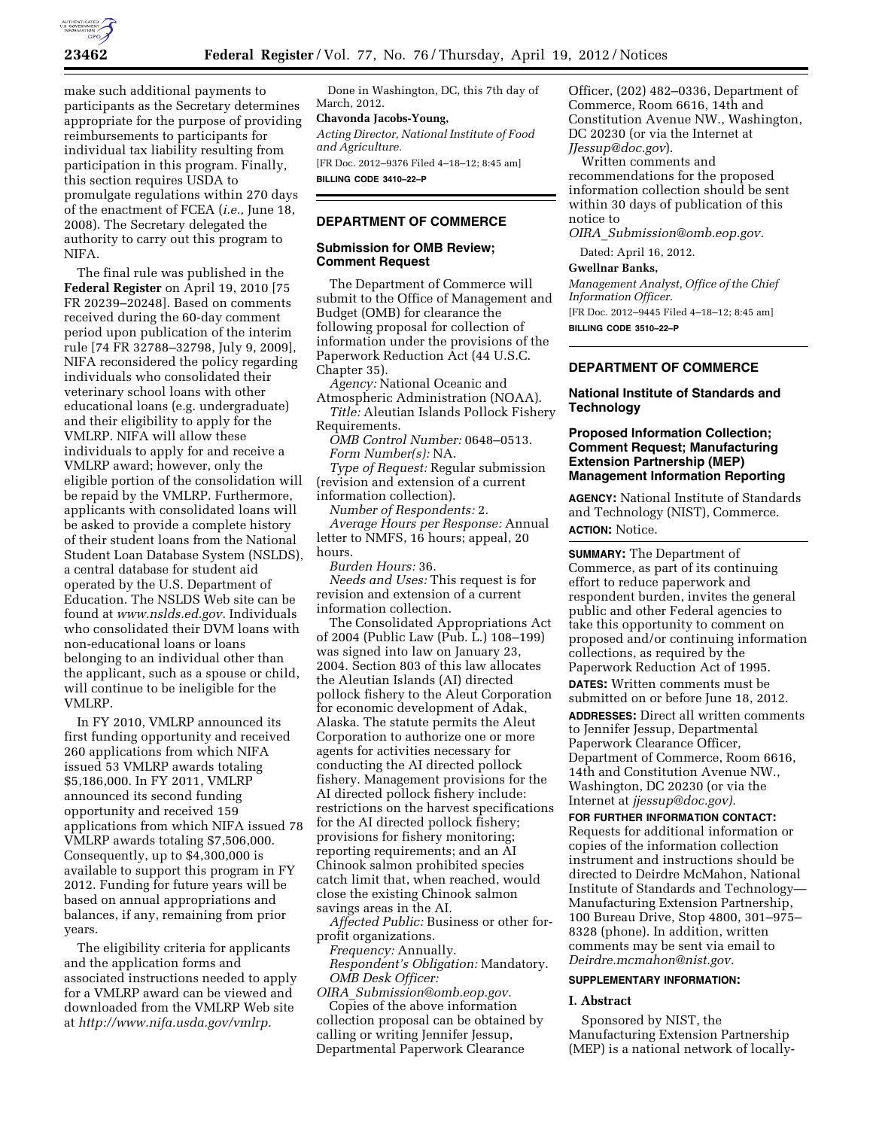

make such additional payments to participants as the Secretary determines appropriate for the purpose of providing reimbursements to participants for individual tax liability resulting from participation in this program. Finally, this section requires USDA to promulgate regulations within 270 days of the enactment of FCEA (*i.e.,* June 18, 2008). The Secretary delegated the authority to carry out this program to NIFA.

The final rule was published in the **Federal Register** on April 19, 2010 [75 FR 20239–20248]. Based on comments received during the 60-day comment period upon publication of the interim rule [74 FR 32788–32798, July 9, 2009], NIFA reconsidered the policy regarding individuals who consolidated their veterinary school loans with other educational loans (e.g. undergraduate) and their eligibility to apply for the VMLRP. NIFA will allow these individuals to apply for and receive a VMLRP award; however, only the eligible portion of the consolidation will be repaid by the VMLRP. Furthermore, applicants with consolidated loans will be asked to provide a complete history of their student loans from the National Student Loan Database System (NSLDS), a central database for student aid operated by the U.S. Department of Education. The NSLDS Web site can be found at *[www.nslds.ed.gov.](http://www.nslds.ed.gov)* Individuals who consolidated their DVM loans with non-educational loans or loans belonging to an individual other than the applicant, such as a spouse or child, will continue to be ineligible for the VMLRP.

In FY 2010, VMLRP announced its first funding opportunity and received 260 applications from which NIFA issued 53 VMLRP awards totaling \$5,186,000. In FY 2011, VMLRP announced its second funding opportunity and received 159 applications from which NIFA issued 78 VMLRP awards totaling \$7,506,000. Consequently, up to \$4,300,000 is available to support this program in FY 2012. Funding for future years will be based on annual appropriations and balances, if any, remaining from prior years.

The eligibility criteria for applicants and the application forms and associated instructions needed to apply for a VMLRP award can be viewed and downloaded from the VMLRP Web site at *[http://www.nifa.usda.gov/vmlrp.](http://www.nifa.usda.gov/vmlrp)* 

Done in Washington, DC, this 7th day of March, 2012.

### **Chavonda Jacobs-Young,**

*Acting Director, National Institute of Food and Agriculture.* 

[FR Doc. 2012–9376 Filed 4–18–12; 8:45 am] **BILLING CODE 3410–22–P** 

## **DEPARTMENT OF COMMERCE**

### **Submission for OMB Review; Comment Request**

The Department of Commerce will submit to the Office of Management and Budget (OMB) for clearance the following proposal for collection of information under the provisions of the Paperwork Reduction Act (44 U.S.C. Chapter 35).

*Agency:* National Oceanic and Atmospheric Administration (NOAA).

*Title:* Aleutian Islands Pollock Fishery Requirements.

*OMB Control Number:* 0648–0513. *Form Number(s):* NA.

*Type of Request:* Regular submission (revision and extension of a current information collection).

*Number of Respondents:* 2.

*Average Hours per Response:* Annual letter to NMFS, 16 hours; appeal, 20 hours.

*Burden Hours:* 36. *Needs and Uses:* This request is for revision and extension of a current information collection.

The Consolidated Appropriations Act of 2004 (Public Law (Pub. L.) 108–199) was signed into law on January 23, 2004. Section 803 of this law allocates the Aleutian Islands (AI) directed pollock fishery to the Aleut Corporation for economic development of Adak, Alaska. The statute permits the Aleut Corporation to authorize one or more agents for activities necessary for conducting the AI directed pollock fishery. Management provisions for the AI directed pollock fishery include: restrictions on the harvest specifications for the AI directed pollock fishery; provisions for fishery monitoring; reporting requirements; and an AI Chinook salmon prohibited species catch limit that, when reached, would close the existing Chinook salmon savings areas in the AI.

*Affected Public:* Business or other forprofit organizations.

*Frequency:* Annually. *Respondent's Obligation:* Mandatory. *OMB Desk Officer:* 

*OIRA*\_*[Submission@omb.eop.gov.](mailto:OIRA_Submission@omb.eop.gov)*  Copies of the above information collection proposal can be obtained by calling or writing Jennifer Jessup, Departmental Paperwork Clearance

Officer, (202) 482–0336, Department of Commerce, Room 6616, 14th and Constitution Avenue NW., Washington, DC 20230 (or via the Internet at *[JJessup@doc.gov](mailto:JJessup@doc.gov)*).

Written comments and recommendations for the proposed information collection should be sent within 30 days of publication of this notice to

*OIRA*\_*[Submission@omb.eop.gov.](mailto:OIRA_Submission@omb.eop.gov)* 

Dated: April 16, 2012.

## **Gwellnar Banks,**

*Management Analyst, Office of the Chief Information Officer.* 

[FR Doc. 2012–9445 Filed 4–18–12; 8:45 am] **BILLING CODE 3510–22–P** 

## **DEPARTMENT OF COMMERCE**

**National Institute of Standards and Technology** 

## **Proposed Information Collection; Comment Request; Manufacturing Extension Partnership (MEP) Management Information Reporting**

**AGENCY:** National Institute of Standards and Technology (NIST), Commerce. **ACTION:** Notice.

**SUMMARY:** The Department of Commerce, as part of its continuing effort to reduce paperwork and respondent burden, invites the general public and other Federal agencies to take this opportunity to comment on proposed and/or continuing information collections, as required by the Paperwork Reduction Act of 1995. **DATES:** Written comments must be submitted on or before June 18, 2012.

**ADDRESSES:** Direct all written comments to Jennifer Jessup, Departmental Paperwork Clearance Officer, Department of Commerce, Room 6616, 14th and Constitution Avenue NW., Washington, DC 20230 (or via the Internet at *[jjessup@doc.gov\).](mailto:jjessup@doc.gov)* 

**FOR FURTHER INFORMATION CONTACT:**  Requests for additional information or copies of the information collection instrument and instructions should be directed to Deirdre McMahon, National Institute of Standards and Technology— Manufacturing Extension Partnership, 100 Bureau Drive, Stop 4800, 301–975– 8328 (phone). In addition, written comments may be sent via email to *[Deirdre.mcmahon@nist.gov.](mailto:Deirdre.mcmahon@nist.gov)* 

# **SUPPLEMENTARY INFORMATION:**

### **I. Abstract**

Sponsored by NIST, the Manufacturing Extension Partnership (MEP) is a national network of locally